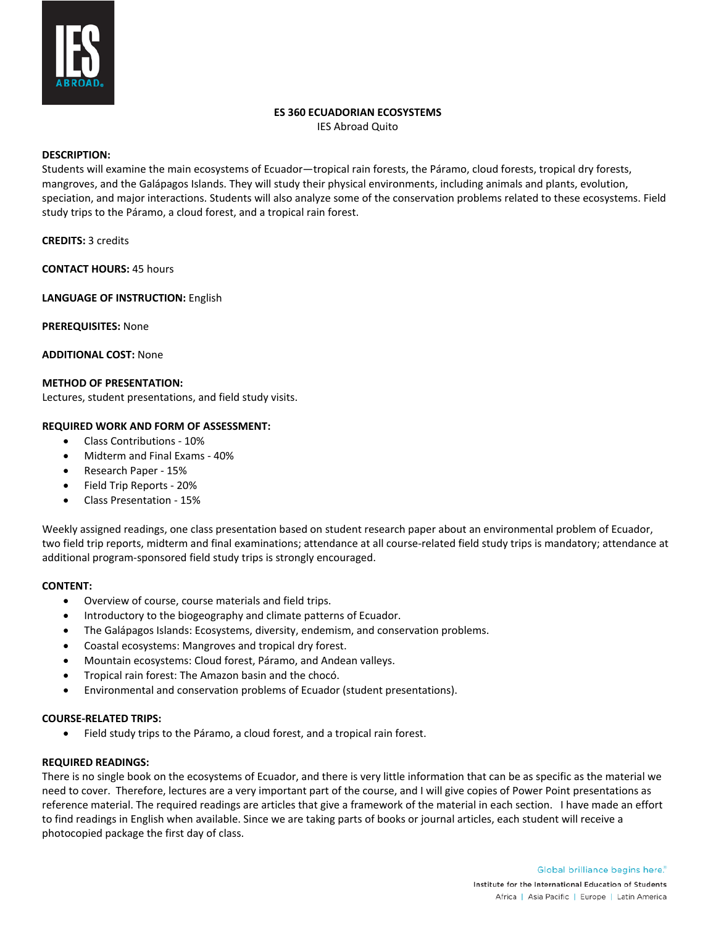

# **ES 360 ECUADORIAN ECOSYSTEMS**

IES Abroad Quito

## **DESCRIPTION:**

Students will examine the main ecosystems of Ecuador—tropical rain forests, the Páramo, cloud forests, tropical dry forests, mangroves, and the Galápagos Islands. They will study their physical environments, including animals and plants, evolution, speciation, and major interactions. Students will also analyze some of the conservation problems related to these ecosystems. Field study trips to the Páramo, a cloud forest, and a tropical rain forest.

## **CREDITS:** 3 credits

**CONTACT HOURS:** 45 hours

**LANGUAGE OF INSTRUCTION:** English

**PREREQUISITES:** None

**ADDITIONAL COST:** None

## **METHOD OF PRESENTATION:**

Lectures, student presentations, and field study visits.

## **REQUIRED WORK AND FORM OF ASSESSMENT:**

- Class Contributions 10%
- Midterm and Final Exams 40%
- Research Paper 15%
- Field Trip Reports 20%
- Class Presentation 15%

Weekly assigned readings, one class presentation based on student research paper about an environmental problem of Ecuador, two field trip reports, midterm and final examinations; attendance at all course-related field study trips is mandatory; attendance at additional program-sponsored field study trips is strongly encouraged.

## **CONTENT:**

- Overview of course, course materials and field trips.
- Introductory to the biogeography and climate patterns of Ecuador.
- The Galápagos Islands: Ecosystems, diversity, endemism, and conservation problems.
- Coastal ecosystems: Mangroves and tropical dry forest.
- Mountain ecosystems: Cloud forest, Páramo, and Andean valleys.
- Tropical rain forest: The Amazon basin and the chocó.
- Environmental and conservation problems of Ecuador (student presentations).

## **COURSE-RELATED TRIPS:**

• Field study trips to the Páramo, a cloud forest, and a tropical rain forest.

## **REQUIRED READINGS:**

There is no single book on the ecosystems of Ecuador, and there is very little information that can be as specific as the material we need to cover. Therefore, lectures are a very important part of the course, and I will give copies of Power Point presentations as reference material. The required readings are articles that give a framework of the material in each section. I have made an effort to find readings in English when available. Since we are taking parts of books or journal articles, each student will receive a photocopied package the first day of class.

> Global brilliance begins here. Institute for the International Education of Students Africa | Asia Pacific | Europe | Latin America